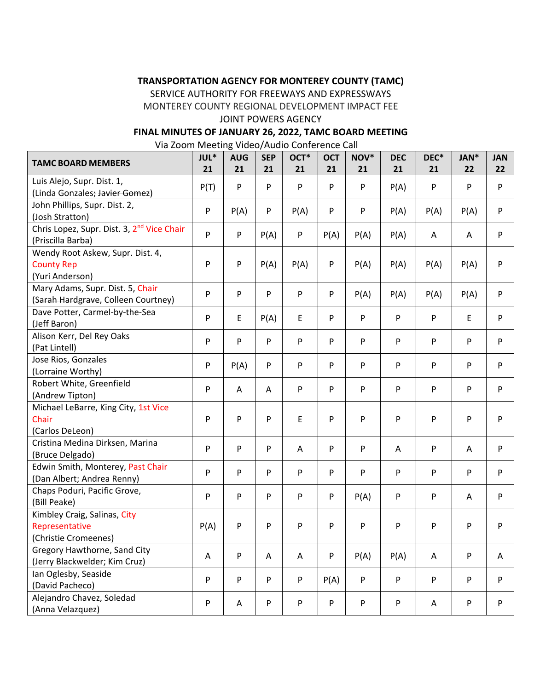### **TRANSPORTATION AGENCY FOR MONTEREY COUNTY (TAMC)**

SERVICE AUTHORITY FOR FREEWAYS AND EXPRESSWAYS

MONTEREY COUNTY REGIONAL DEVELOPMENT IMPACT FEE

### JOINT POWERS AGENCY

### **FINAL MINUTES OF JANUARY 26, 2022, TAMC BOARD MEETING**

Via Zoom Meeting Video/Audio Conference Call

| <b>TAMC BOARD MEMBERS</b>                                                   | JUL*<br>21 | <b>AUG</b><br>21 | <b>SEP</b><br>21 | OCT <sup>*</sup><br>21    | <b>OCT</b><br>21 | NOV*<br>21 | <b>DEC</b><br>21 | DEC*<br>21 | JAN*<br>22  | <b>JAN</b><br>22 |
|-----------------------------------------------------------------------------|------------|------------------|------------------|---------------------------|------------------|------------|------------------|------------|-------------|------------------|
| Luis Alejo, Supr. Dist. 1,<br>(Linda Gonzales; Javier Gomez)                | P(T)       | P                | P                | P                         | P                | P          | P(A)             | P          | P           | P                |
| John Phillips, Supr. Dist. 2,<br>(Josh Stratton)                            | P          | P(A)             | P                | P(A)                      | P                | P          | P(A)             | P(A)       | P(A)        | $\mathsf{P}$     |
| Chris Lopez, Supr. Dist. 3, 2 <sup>nd</sup> Vice Chair<br>(Priscilla Barba) | P          | P                | P(A)             | $\boldsymbol{\mathsf{P}}$ | P(A)             | P(A)       | P(A)             | A          | A           | ${\sf P}$        |
| Wendy Root Askew, Supr. Dist. 4,<br><b>County Rep</b><br>(Yuri Anderson)    | P          | P                | P(A)             | P(A)                      | P                | P(A)       | P(A)             | P(A)       | P(A)        | P                |
| Mary Adams, Supr. Dist. 5, Chair<br>(Sarah Hardgrave, Colleen Courtney)     | P          | P                | ${\sf P}$        | ${\sf P}$                 | P                | P(A)       | P(A)             | P(A)       | P(A)        | $\mathsf{P}$     |
| Dave Potter, Carmel-by-the-Sea<br>(Jeff Baron)                              | P          | E                | P(A)             | E                         | P                | P          | P                | P          | $\mathsf E$ | $\mathsf{P}$     |
| Alison Kerr, Del Rey Oaks<br>(Pat Lintell)                                  | P          | P                | ${\sf P}$        | P                         | P                | P          | P                | P          | P           | $\mathsf{P}$     |
| Jose Rios, Gonzales<br>(Lorraine Worthy)                                    | P          | P(A)             | ${\sf P}$        | P                         | P                | P          | P                | P          | P           | P                |
| Robert White, Greenfield<br>(Andrew Tipton)                                 | P          | Α                | A                | ${\sf P}$                 | P                | P          | P                | P          | P           | ${\sf P}$        |
| Michael LeBarre, King City, 1st Vice<br>Chair<br>(Carlos DeLeon)            | P          | P                | P                | E                         | P                | P          | P                | P          | P           | P                |
| Cristina Medina Dirksen, Marina<br>(Bruce Delgado)                          | P          | P                | P                | Α                         | P                | P          | A                | P          | Α           | ${\sf P}$        |
| Edwin Smith, Monterey, Past Chair<br>(Dan Albert; Andrea Renny)             | P          | P                | ${\sf P}$        | ${\sf P}$                 | P                | P          | P                | P          | P           | $\mathsf{P}$     |
| Chaps Poduri, Pacific Grove,<br>(Bill Peake)                                | P          | P                | P                | P                         | P                | P(A)       | P                | ${\sf P}$  | Α           | $\mathsf{P}$     |
| Kimbley Craig, Salinas, City<br>Representative<br>(Christie Cromeenes)      | P(A)       | P                | P                | ${\sf P}$                 | P                | P          | P                | P          | ${\sf P}$   | ${\sf P}$        |
| Gregory Hawthorne, Sand City<br>(Jerry Blackwelder; Kim Cruz)               | A          | P                | Α                | A                         | P                | P(A)       | P(A)             | A          | P           | A                |
| Ian Oglesby, Seaside<br>(David Pacheco)                                     | P          | P                | P                | ${\sf P}$                 | P(A)             | P          | P                | P          | P           | ${\sf P}$        |
| Alejandro Chavez, Soledad<br>(Anna Velazquez)                               | P          | Α                | P                | P                         | P                | P          | P                | A          | P           | P                |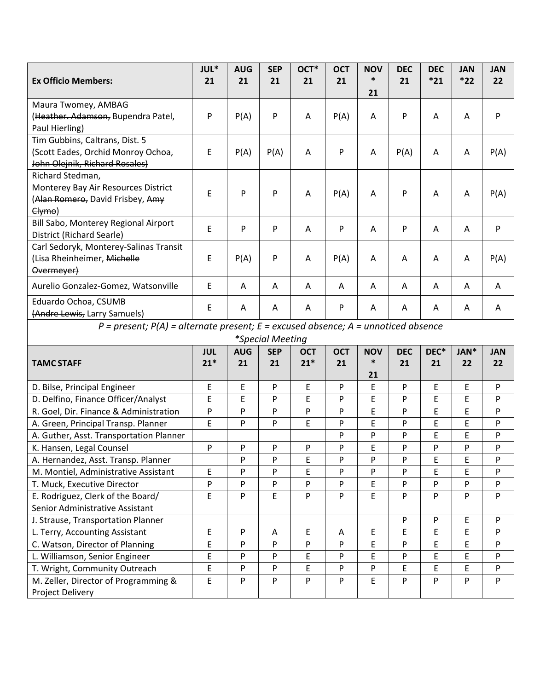|                                                                                               | JUL*       | <b>AUG</b> | <b>SEP</b> | OCT*       | <b>OCT</b> | <b>NOV</b> | <b>DEC</b> | <b>DEC</b> | <b>JAN</b> | <b>JAN</b> |
|-----------------------------------------------------------------------------------------------|------------|------------|------------|------------|------------|------------|------------|------------|------------|------------|
| <b>Ex Officio Members:</b>                                                                    | 21         | 21         | 21         | 21         | 21         | ∗          | 21         | $*21$      | $*22$      | 22         |
|                                                                                               |            |            |            |            |            | 21         |            |            |            |            |
| Maura Twomey, AMBAG                                                                           |            |            |            |            |            |            |            |            |            |            |
| (Heather. Adamson, Bupendra Patel,                                                            | P          | P(A)       | P          | A          | P(A)       | A          | P          | A          | A          | P          |
| Paul Hierling)                                                                                |            |            |            |            |            |            |            |            |            |            |
| Tim Gubbins, Caltrans, Dist. 5                                                                |            |            |            |            |            |            |            |            |            |            |
| (Scott Eades, Orchid Monroy Ochoa,                                                            | E          | P(A)       | P(A)       | Α          | P          | Α          | P(A)       | Α          | Α          | P(A)       |
| John Olejnik, Richard Rosales)                                                                |            |            |            |            |            |            |            |            |            |            |
| Richard Stedman,                                                                              |            |            |            |            |            |            |            |            |            |            |
| Monterey Bay Air Resources District<br>(Alan Romero, David Frisbey, Amy                       | E          | P          | P          | A          | P(A)       | A          | P          | A          | A          | P(A)       |
| Clymo)                                                                                        |            |            |            |            |            |            |            |            |            |            |
| Bill Sabo, Monterey Regional Airport                                                          |            |            |            |            |            |            |            |            |            |            |
| District (Richard Searle)                                                                     | E          | P          | P          | A          | P          | A          | ${\sf P}$  | A          | A          | P          |
| Carl Sedoryk, Monterey-Salinas Transit                                                        |            |            |            |            |            |            |            |            |            |            |
| (Lisa Rheinheimer, Michelle                                                                   | E          | P(A)       | P          | A          | P(A)       | A          | A          | A          | Α          | P(A)       |
| Overmeyer)                                                                                    |            |            |            |            |            |            |            |            |            |            |
|                                                                                               |            |            |            |            |            |            |            |            |            |            |
| Aurelio Gonzalez-Gomez, Watsonville                                                           | E          | Α          | A          | Α          | A          | A          | A          | A          | Α          | A          |
| Eduardo Ochoa, CSUMB                                                                          | E          | A          | Α          | Α          | P          | Α          | Α          | A          | A          | Α          |
| (Andre Lewis, Larry Samuels)                                                                  |            |            |            |            |            |            |            |            |            |            |
| $P = present$ ; $P(A) = alternate present$ ; $E = excused absence$ ; $A = un noticed absence$ |            |            |            |            |            |            |            |            |            |            |
| *Special Meeting                                                                              |            |            |            |            |            |            |            |            |            |            |
|                                                                                               | <b>JUL</b> | <b>AUG</b> | <b>SEP</b> | <b>OCT</b> | <b>OCT</b> | <b>NOV</b> | <b>DEC</b> | DEC*       | JAN*       | <b>JAN</b> |
| <b>TAMC STAFF</b>                                                                             | $21*$      | 21         | 21         | $21*$      | 21         | ∗          | 21         | 21         | 22         | 22         |
|                                                                                               |            |            |            |            |            | 21         |            |            |            |            |
| D. Bilse, Principal Engineer                                                                  | E          | E          | P          | E          | P          | E          | P          | E          | E          | P          |
| D. Delfino, Finance Officer/Analyst                                                           | E          | E          | P          | E          | P          | E          | P          | E          | E          | P          |
| R. Goel, Dir. Finance & Administration                                                        | P          | P          | P          | P          | P          | E          | P          | E          | E          | P          |
| A. Green, Principal Transp. Planner                                                           | E          | P          | P          | E          | P          | E          | P          | E          | E          | P          |
| A. Guther, Asst. Transportation Planner                                                       |            |            |            |            | P          | P          | P          | E          | E          | P          |
| K. Hansen, Legal Counsel                                                                      | P          | P          | P          | P          | P          | E          | P          | P          | P          | P          |
| A. Hernandez, Asst. Transp. Planner                                                           |            | P          | P          | E          | P          | P          | P          | E          | E          | P          |
| M. Montiel, Administrative Assistant                                                          | E          | P          | P          | E          | P          | P          | P          | E          | E          | P          |
| T. Muck, Executive Director                                                                   | P          | P          | P          | P          | P          | E          | P          | P          | P          | P          |
| E. Rodriguez, Clerk of the Board/                                                             | E          | P          | E          | P          | P          | E          | P          | P          | P          | P          |
| Senior Administrative Assistant                                                               |            |            |            |            |            |            |            |            |            |            |
| J. Strause, Transportation Planner                                                            |            |            |            |            |            |            | P          | P          | E          | P          |
| L. Terry, Accounting Assistant                                                                | E          | P          | Α          | E          | Α          | E          | E          | E          | E          | P          |
| C. Watson, Director of Planning                                                               | E          | P          | P          | P          | P          | E          | P          | E          | E          | P          |
| L. Williamson, Senior Engineer                                                                | E          | ${\sf P}$  | P          | E          | P          | E          | P          | E          | E          | P          |
| T. Wright, Community Outreach                                                                 | E          | P          | P          | E          | P          | P          | E          | E          | E          | P          |
| M. Zeller, Director of Programming &<br>Project Delivery                                      | E          | P          | P          | P          | P          | E          | P          | P          | P          | P          |
|                                                                                               |            |            |            |            |            |            |            |            |            |            |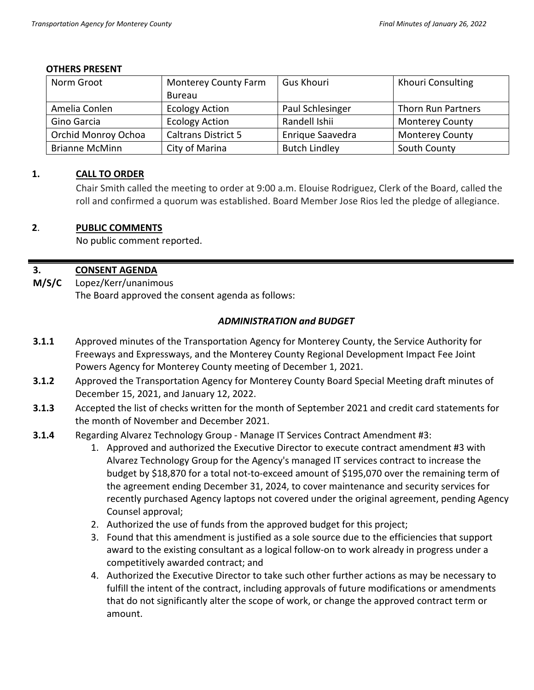### **OTHERS PRESENT**

| Norm Groot            | <b>Monterey County Farm</b> | <b>Gus Khouri</b>    | <b>Khouri Consulting</b> |  |
|-----------------------|-----------------------------|----------------------|--------------------------|--|
|                       | Bureau                      |                      |                          |  |
| Amelia Conlen         | <b>Ecology Action</b>       | Paul Schlesinger     | Thorn Run Partners       |  |
| Gino Garcia           | <b>Ecology Action</b>       | Randell Ishii        | <b>Monterey County</b>   |  |
| Orchid Monroy Ochoa   | <b>Caltrans District 5</b>  | Enrique Saavedra     | <b>Monterey County</b>   |  |
| <b>Brianne McMinn</b> | City of Marina              | <b>Butch Lindley</b> | South County             |  |

### **1. CALL TO ORDER**

Chair Smith called the meeting to order at 9:00 a.m. Elouise Rodriguez, Clerk of the Board, called the roll and confirmed a quorum was established. Board Member Jose Rios led the pledge of allegiance.

### **2**. **PUBLIC COMMENTS**

No public comment reported.

#### **3. CONSENT AGENDA**

**M/S/C** Lopez/Kerr/unanimous The Board approved the consent agenda as follows:

### *ADMINISTRATION and BUDGET*

- **3.1.1** Approved minutes of the Transportation Agency for Monterey County, the Service Authority for Freeways and Expressways, and the Monterey County Regional Development Impact Fee Joint Powers Agency for Monterey County meeting of December 1, 2021.
- **3.1.2** Approved the Transportation Agency for Monterey County Board Special Meeting draft minutes of December 15, 2021, and January 12, 2022.
- **3.1.3** Accepted the list of checks written for the month of September 2021 and credit card statements for the month of November and December 2021.
- **3.1.4** Regarding Alvarez Technology Group Manage IT Services Contract Amendment #3:
	- 1. Approved and authorized the Executive Director to execute contract amendment #3 with Alvarez Technology Group for the Agency's managed IT services contract to increase the budget by \$18,870 for a total not-to-exceed amount of \$195,070 over the remaining term of the agreement ending December 31, 2024, to cover maintenance and security services for recently purchased Agency laptops not covered under the original agreement, pending Agency Counsel approval;
	- 2. Authorized the use of funds from the approved budget for this project;
	- 3. Found that this amendment is justified as a sole source due to the efficiencies that support award to the existing consultant as a logical follow-on to work already in progress under a competitively awarded contract; and
	- 4. Authorized the Executive Director to take such other further actions as may be necessary to fulfill the intent of the contract, including approvals of future modifications or amendments that do not significantly alter the scope of work, or change the approved contract term or amount.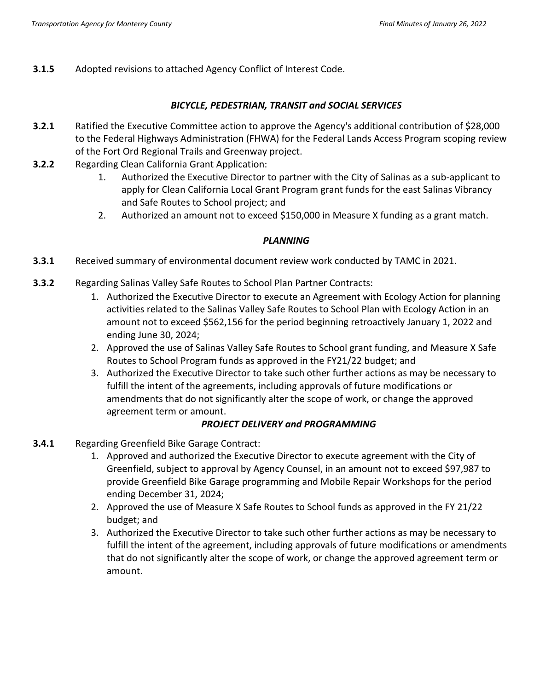**3.1.5** Adopted revisions to attached Agency Conflict of Interest Code.

### *BICYCLE, PEDESTRIAN, TRANSIT and SOCIAL SERVICES*

- **3.2.1** Ratified the Executive Committee action to approve the Agency's additional contribution of \$28,000 to the Federal Highways Administration (FHWA) for the Federal Lands Access Program scoping review of the Fort Ord Regional Trails and Greenway project.
- **3.2.2** Regarding Clean California Grant Application:
	- 1. Authorized the Executive Director to partner with the City of Salinas as a sub-applicant to apply for Clean California Local Grant Program grant funds for the east Salinas Vibrancy and Safe Routes to School project; and
	- 2. Authorized an amount not to exceed \$150,000 in Measure X funding as a grant match.

### *PLANNING*

- **3.3.1** Received summary of environmental document review work conducted by TAMC in 2021.
- **3.3.2** Regarding Salinas Valley Safe Routes to School Plan Partner Contracts:
	- 1. Authorized the Executive Director to execute an Agreement with Ecology Action for planning activities related to the Salinas Valley Safe Routes to School Plan with Ecology Action in an amount not to exceed \$562,156 for the period beginning retroactively January 1, 2022 and ending June 30, 2024;
	- 2. Approved the use of Salinas Valley Safe Routes to School grant funding, and Measure X Safe Routes to School Program funds as approved in the FY21/22 budget; and
	- 3. Authorized the Executive Director to take such other further actions as may be necessary to fulfill the intent of the agreements, including approvals of future modifications or amendments that do not significantly alter the scope of work, or change the approved agreement term or amount.

### *PROJECT DELIVERY and PROGRAMMING*

- **3.4.1** Regarding Greenfield Bike Garage Contract:
	- 1. Approved and authorized the Executive Director to execute agreement with the City of Greenfield, subject to approval by Agency Counsel, in an amount not to exceed \$97,987 to provide Greenfield Bike Garage programming and Mobile Repair Workshops for the period ending December 31, 2024;
	- 2. Approved the use of Measure X Safe Routes to School funds as approved in the FY 21/22 budget; and
	- 3. Authorized the Executive Director to take such other further actions as may be necessary to fulfill the intent of the agreement, including approvals of future modifications or amendments that do not significantly alter the scope of work, or change the approved agreement term or amount.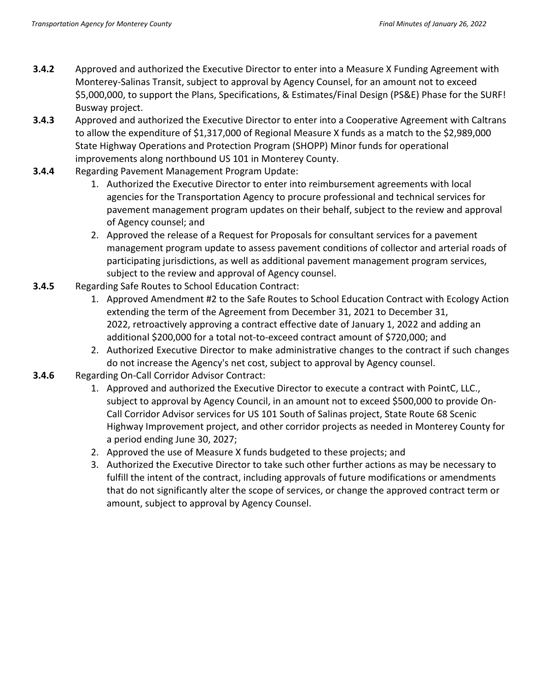- **3.4.2** Approved and authorized the Executive Director to enter into a Measure X Funding Agreement with Monterey-Salinas Transit, subject to approval by Agency Counsel, for an amount not to exceed \$5,000,000, to support the Plans, Specifications, & Estimates/Final Design (PS&E) Phase for the SURF! Busway project.
- **3.4.3** Approved and authorized the Executive Director to enter into a Cooperative Agreement with Caltrans to allow the expenditure of \$1,317,000 of Regional Measure X funds as a match to the \$2,989,000 State Highway Operations and Protection Program (SHOPP) Minor funds for operational improvements along northbound US 101 in Monterey County.
- **3.4.4** Regarding Pavement Management Program Update:
	- 1. Authorized the Executive Director to enter into reimbursement agreements with local agencies for the Transportation Agency to procure professional and technical services for pavement management program updates on their behalf, subject to the review and approval of Agency counsel; and
	- 2. Approved the release of a Request for Proposals for consultant services for a pavement management program update to assess pavement conditions of collector and arterial roads of participating jurisdictions, as well as additional pavement management program services, subject to the review and approval of Agency counsel.
- **3.4.5** Regarding Safe Routes to School Education Contract:
	- 1. Approved Amendment #2 to the Safe Routes to School Education Contract with Ecology Action extending the term of the Agreement from December 31, 2021 to December 31, 2022, retroactively approving a contract effective date of January 1, 2022 and adding an additional \$200,000 for a total not-to-exceed contract amount of \$720,000; and
	- 2. Authorized Executive Director to make administrative changes to the contract if such changes do not increase the Agency's net cost, subject to approval by Agency counsel.
- **3.4.6** Regarding On-Call Corridor Advisor Contract:
	- 1. Approved and authorized the Executive Director to execute a contract with PointC, LLC., subject to approval by Agency Council, in an amount not to exceed \$500,000 to provide On-Call Corridor Advisor services for US 101 South of Salinas project, State Route 68 Scenic Highway Improvement project, and other corridor projects as needed in Monterey County for a period ending June 30, 2027;
	- 2. Approved the use of Measure X funds budgeted to these projects; and
	- 3. Authorized the Executive Director to take such other further actions as may be necessary to fulfill the intent of the contract, including approvals of future modifications or amendments that do not significantly alter the scope of services, or change the approved contract term or amount, subject to approval by Agency Counsel.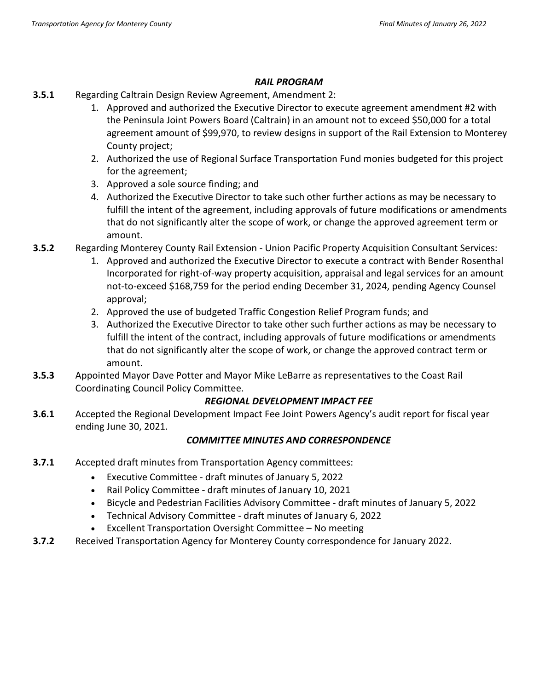### *RAIL PROGRAM*

- **3.5.1** Regarding Caltrain Design Review Agreement, Amendment 2:
	- 1. Approved and authorized the Executive Director to execute agreement amendment #2 with the Peninsula Joint Powers Board (Caltrain) in an amount not to exceed \$50,000 for a total agreement amount of \$99,970, to review designs in support of the Rail Extension to Monterey County project;
	- 2. Authorized the use of Regional Surface Transportation Fund monies budgeted for this project for the agreement;
	- 3. Approved a sole source finding; and
	- 4. Authorized the Executive Director to take such other further actions as may be necessary to fulfill the intent of the agreement, including approvals of future modifications or amendments that do not significantly alter the scope of work, or change the approved agreement term or amount.
- **3.5.2** Regarding Monterey County Rail Extension Union Pacific Property Acquisition Consultant Services:
	- 1. Approved and authorized the Executive Director to execute a contract with Bender Rosenthal Incorporated for right-of-way property acquisition, appraisal and legal services for an amount not-to-exceed \$168,759 for the period ending December 31, 2024, pending Agency Counsel approval;
	- 2. Approved the use of budgeted Traffic Congestion Relief Program funds; and
	- 3. Authorized the Executive Director to take other such further actions as may be necessary to fulfill the intent of the contract, including approvals of future modifications or amendments that do not significantly alter the scope of work, or change the approved contract term or amount.
- **3.5.3** Appointed Mayor Dave Potter and Mayor Mike LeBarre as representatives to the Coast Rail Coordinating Council Policy Committee.

# *REGIONAL DEVELOPMENT IMPACT FEE*

**3.6.1** Accepted the Regional Development Impact Fee Joint Powers Agency's audit report for fiscal year ending June 30, 2021.

# *COMMITTEE MINUTES AND CORRESPONDENCE*

- **3.7.1** Accepted draft minutes from Transportation Agency committees:
	- Executive Committee draft minutes of January 5, 2022
	- Rail Policy Committee draft minutes of January 10, 2021
	- Bicycle and Pedestrian Facilities Advisory Committee draft minutes of January 5, 2022
	- Technical Advisory Committee draft minutes of January 6, 2022
	- Excellent Transportation Oversight Committee No meeting
- **3.7.2** Received Transportation Agency for Monterey County correspondence for January 2022.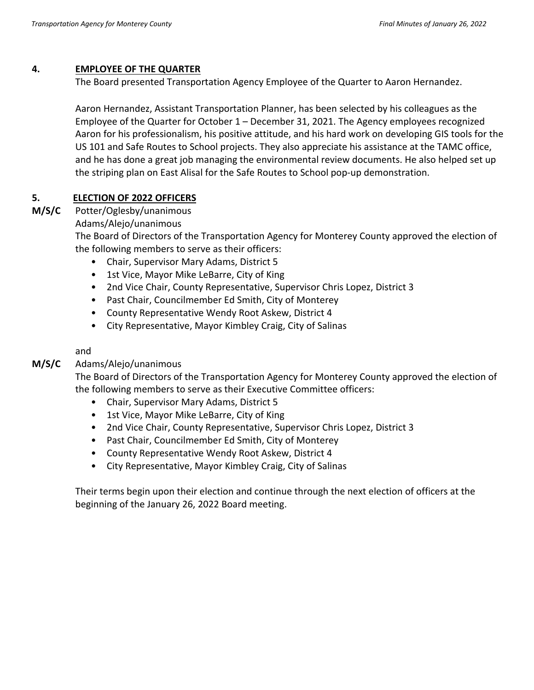### **4. EMPLOYEE OF THE QUARTER**

The Board presented Transportation Agency Employee of the Quarter to Aaron Hernandez.

Aaron Hernandez, Assistant Transportation Planner, has been selected by his colleagues as the Employee of the Quarter for October 1 – December 31, 2021. The Agency employees recognized Aaron for his professionalism, his positive attitude, and his hard work on developing GIS tools for the US 101 and Safe Routes to School projects. They also appreciate his assistance at the TAMC office, and he has done a great job managing the environmental review documents. He also helped set up the striping plan on East Alisal for the Safe Routes to School pop-up demonstration.

### **5. ELECTION OF 2022 OFFICERS**

#### **M/S/C** Potter/Oglesby/unanimous

Adams/Alejo/unanimous

The Board of Directors of the Transportation Agency for Monterey County approved the election of the following members to serve as their officers:

- Chair, Supervisor Mary Adams, District 5
- 1st Vice, Mayor Mike LeBarre, City of King
- 2nd Vice Chair, County Representative, Supervisor Chris Lopez, District 3
- Past Chair, Councilmember Ed Smith, City of Monterey
- County Representative Wendy Root Askew, District 4
- City Representative, Mayor Kimbley Craig, City of Salinas

and

#### **M/S/C** Adams/Alejo/unanimous

The Board of Directors of the Transportation Agency for Monterey County approved the election of the following members to serve as their Executive Committee officers:

- Chair, Supervisor Mary Adams, District 5
- 1st Vice, Mayor Mike LeBarre, City of King
- 2nd Vice Chair, County Representative, Supervisor Chris Lopez, District 3
- Past Chair, Councilmember Ed Smith, City of Monterey
- County Representative Wendy Root Askew, District 4
- City Representative, Mayor Kimbley Craig, City of Salinas

Their terms begin upon their election and continue through the next election of officers at the beginning of the January 26, 2022 Board meeting.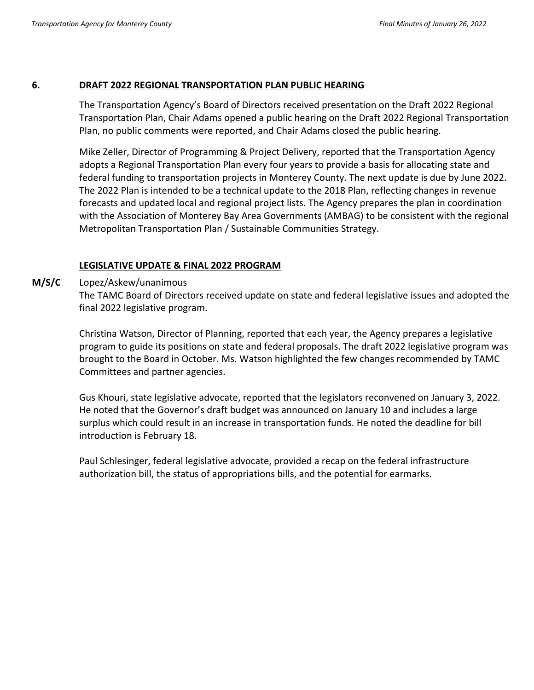### **6. DRAFT 2022 REGIONAL TRANSPORTATION PLAN PUBLIC HEARING**

The Transportation Agency's Board of Directors received presentation on the Draft 2022 Regional Transportation Plan, Chair Adams opened a public hearing on the Draft 2022 Regional Transportation Plan, no public comments were reported, and Chair Adams closed the public hearing.

Mike Zeller, Director of Programming & Project Delivery, reported that the Transportation Agency adopts a Regional Transportation Plan every four years to provide a basis for allocating state and federal funding to transportation projects in Monterey County. The next update is due by June 2022. The 2022 Plan is intended to be a technical update to the 2018 Plan, reflecting changes in revenue forecasts and updated local and regional project lists. The Agency prepares the plan in coordination with the Association of Monterey Bay Area Governments (AMBAG) to be consistent with the regional Metropolitan Transportation Plan / Sustainable Communities Strategy.

### **LEGISLATIVE UPDATE & FINAL 2022 PROGRAM**

### **M/S/C** Lopez/Askew/unanimous

The TAMC Board of Directors received update on state and federal legislative issues and adopted the final 2022 legislative program.

Christina Watson, Director of Planning, reported that each year, the Agency prepares a legislative program to guide its positions on state and federal proposals. The draft 2022 legislative program was brought to the Board in October. Ms. Watson highlighted the few changes recommended by TAMC Committees and partner agencies.

Gus Khouri, state legislative advocate, reported that the legislators reconvened on January 3, 2022. He noted that the Governor's draft budget was announced on January 10 and includes a large surplus which could result in an increase in transportation funds. He noted the deadline for bill introduction is February 18.

Paul Schlesinger, federal legislative advocate, provided a recap on the federal infrastructure authorization bill, the status of appropriations bills, and the potential for earmarks.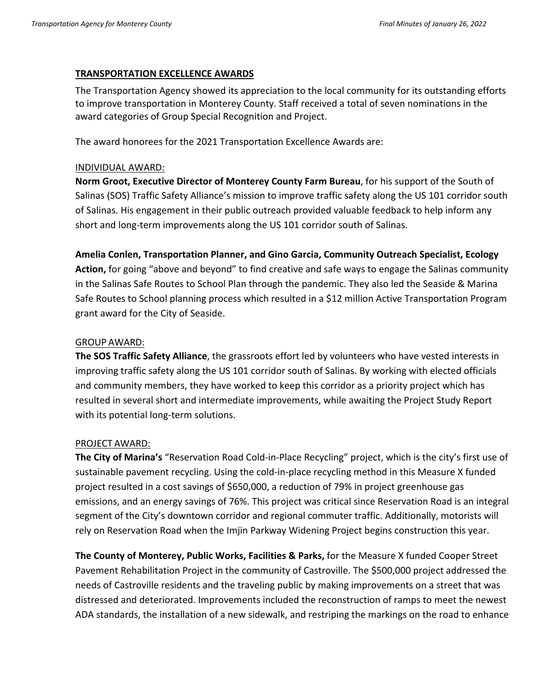### **TRANSPORTATION EXCELLENCE AWARDS**

The Transportation Agency showed its appreciation to the local community for its outstanding efforts to improve transportation in Monterey County. Staff received a total of seven nominations in the award categories of Group Special Recognition and Project.

The award honorees for the 2021 Transportation Excellence Awards are:

### INDIVIDUAL AWARD:

**Norm Groot, Executive Director of Monterey County Farm Bureau**, for his support of the South of Salinas (SOS) Traffic Safety Alliance's mission to improve traffic safety along the US 101 corridor south of Salinas. His engagement in their public outreach provided valuable feedback to help inform any short and long-term improvements along the US 101 corridor south of Salinas.

**Amelia Conlen, Transportation Planner, and Gino Garcia, Community Outreach Specialist, Ecology Action,** for going "above and beyond" to find creative and safe ways to engage the Salinas community in the Salinas Safe Routes to School Plan through the pandemic. They also led the Seaside & Marina Safe Routes to School planning process which resulted in a \$12 million Active Transportation Program

### GROUP AWARD:

grant award for the City of Seaside.

**The SOS Traffic Safety Alliance**, the grassroots effort led by volunteers who have vested interests in improving traffic safety along the US 101 corridor south of Salinas. By working with elected officials and community members, they have worked to keep this corridor as a priority project which has resulted in several short and intermediate improvements, while awaiting the Project Study Report with its potential long-term solutions.

### PROJECT AWARD:

**The City of Marina's** "Reservation Road Cold-in-Place Recycling" project, which is the city's first use of sustainable pavement recycling. Using the cold-in-place recycling method in this Measure X funded project resulted in a cost savings of \$650,000, a reduction of 79% in project greenhouse gas emissions, and an energy savings of 76%. This project was critical since Reservation Road is an integral segment of the City's downtown corridor and regional commuter traffic. Additionally, motorists will rely on Reservation Road when the Imjin Parkway Widening Project begins construction this year.

**The County of Monterey, Public Works, Facilities & Parks,** for the Measure X funded Cooper Street Pavement Rehabilitation Project in the community of Castroville. The \$500,000 project addressed the needs of Castroville residents and the traveling public by making improvements on a street that was distressed and deteriorated. Improvements included the reconstruction of ramps to meet the newest ADA standards, the installation of a new sidewalk, and restriping the markings on the road to enhance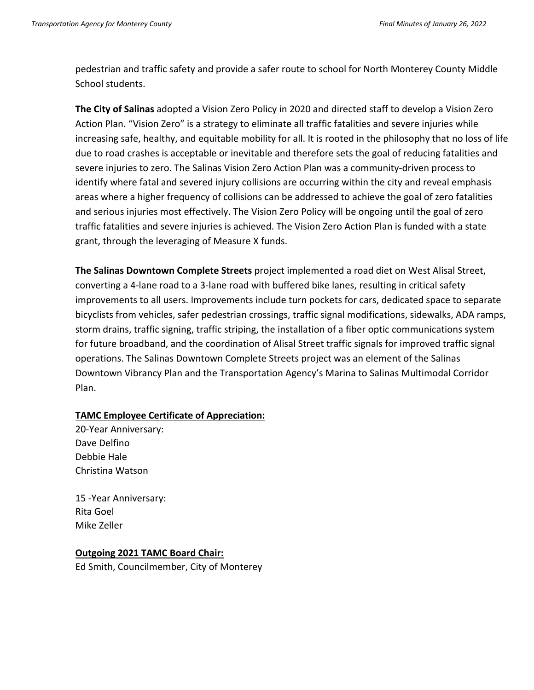pedestrian and traffic safety and provide a safer route to school for North Monterey County Middle School students.

**The City of Salinas** adopted a Vision Zero Policy in 2020 and directed staff to develop a Vision Zero Action Plan. "Vision Zero" is a strategy to eliminate all traffic fatalities and severe injuries while increasing safe, healthy, and equitable mobility for all. It is rooted in the philosophy that no loss of life due to road crashes is acceptable or inevitable and therefore sets the goal of reducing fatalities and severe injuries to zero. The Salinas Vision Zero Action Plan was a community-driven process to identify where fatal and severed injury collisions are occurring within the city and reveal emphasis areas where a higher frequency of collisions can be addressed to achieve the goal of zero fatalities and serious injuries most effectively. The Vision Zero Policy will be ongoing until the goal of zero traffic fatalities and severe injuries is achieved. The Vision Zero Action Plan is funded with a state grant, through the leveraging of Measure X funds.

**The Salinas Downtown Complete Streets** project implemented a road diet on West Alisal Street, converting a 4-lane road to a 3-lane road with buffered bike lanes, resulting in critical safety improvements to all users. Improvements include turn pockets for cars, dedicated space to separate bicyclists from vehicles, safer pedestrian crossings, traffic signal modifications, sidewalks, ADA ramps, storm drains, traffic signing, traffic striping, the installation of a fiber optic communications system for future broadband, and the coordination of Alisal Street traffic signals for improved traffic signal operations. The Salinas Downtown Complete Streets project was an element of the Salinas Downtown Vibrancy Plan and the Transportation Agency's Marina to Salinas Multimodal Corridor Plan.

### **TAMC Employee Certificate of Appreciation:**

20-Year Anniversary: Dave Delfino Debbie Hale Christina Watson

15 -Year Anniversary: Rita Goel Mike Zeller

### **Outgoing 2021 TAMC Board Chair:**

Ed Smith, Councilmember, City of Monterey